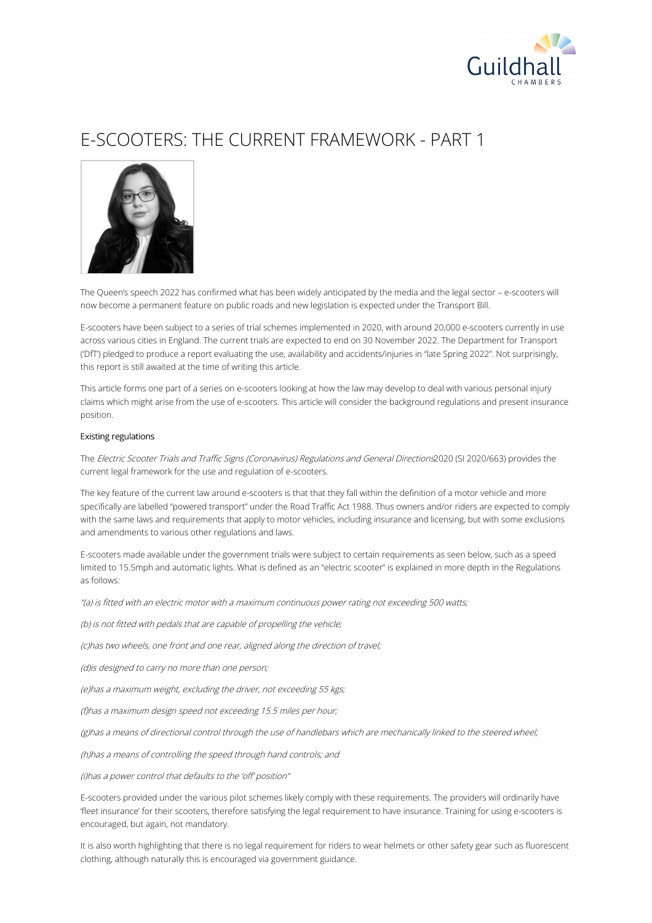

# E-SCOOTERS: THE CURRENT FRAMEWORK - PART 1



The Queen's speech 2022 has confirmed what has been widely anticipated by the media and the legal sector – e-scooters will now become a permanent feature on public roads and new legislation is expected under the Transport Bill.

E-scooters have been subject to a series of trial schemes implemented in 2020, with around 20,000 e-scooters currently in use across various cities in England. The current trials are expected to end on 30 November 2022. The Department for Transport ('DfT') pledged to produce a report evaluating the use, availability and accidents/injuries in "late Spring 2022". Not surprisingly, this report is still awaited at the time of writing this article.

This article forms one part of a series on e-scooters looking at how the law may develop to deal with various personal injury claims which might arise from the use of e-scooters. This article will consider the background regulations and present insurance position.

### Existing regulations

The Electric Scooter Trials and Traffic Signs (Coronavirus) Regulations and General Directions2020 (SI 2020/663) provides the current legal framework for the use and regulation of e-scooters.

The key feature of the current law around e-scooters is that that they fall within the definition of a motor vehicle and more specifically are labelled "powered transport" under the Road Traffic Act 1988. Thus owners and/or riders are expected to comply with the same laws and requirements that apply to motor vehicles, including insurance and licensing, but with some exclusions and amendments to various other regulations and laws.

E-scooters made available under the government trials were subject to certain requirements as seen below, such as a speed limited to 15.5mph and automatic lights. What is defined as an "electric scooter" is explained in more depth in the Regulations as follows:

"(a) is fitted with an electric motor with <sup>a</sup> maximum continuous power rating not exceeding 500 watts;

(b) is not fitted with pedals that are capable of propelling the vehicle;

(c)has two wheels, one front and one rear, aligned along the direction of travel;

(d)is designed to carry no more than one person;

(e)has <sup>a</sup> maximum weight, excluding the driver, not exceeding 55 kgs;

(f)has <sup>a</sup> maximum design speed not exceeding 15.5 miles per hour;

(g)has <sup>a</sup> means of directional control through the use of handlebars which are mechanically linked to the steered wheel;

(h)has <sup>a</sup> means of controlling the speed through hand controls; and

(i)has <sup>a</sup> power control that defaults to the 'off' position"

E-scooters provided under the various pilot schemes likely comply with these requirements. The providers will ordinarily have 'fleet insurance' for their scooters, therefore satisfying the legal requirement to have insurance. Training for using e-scooters is encouraged, but again, not mandatory.

It is also worth highlighting that there is no legal requirement for riders to wear helmets or other safety gear such as fluorescent clothing, although naturally this is encouraged via government guidance.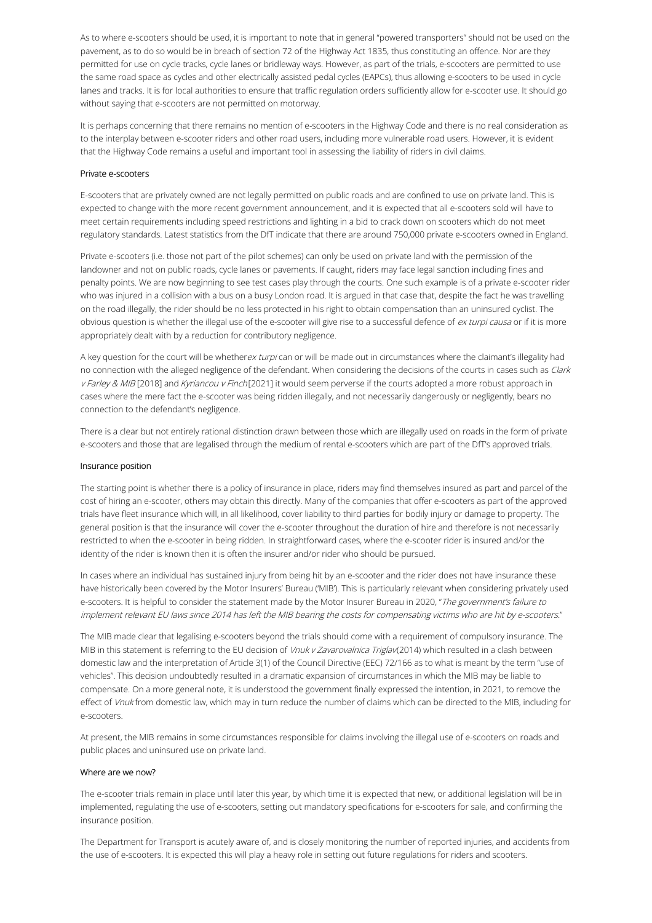As to where e-scooters should be used, it is important to note that in general "powered transporters" should not be used on the pavement, as to do so would be in breach of section 72 of the Highway Act 1835, thus constituting an offence. Nor are they permitted for use on cycle tracks, cycle lanes or bridleway ways. However, as part of the trials, e-scooters are permitted to use the same road space as cycles and other electrically assisted pedal cycles (EAPCs), thus allowing e-scooters to be used in cycle lanes and tracks. It is for local authorities to ensure that traffic regulation orders sufficiently allow for e-scooter use. It should go without saying that e-scooters are not permitted on motorway.

It is perhaps concerning that there remains no mention of e-scooters in the Highway Code and there is no real consideration as to the interplay between e-scooter riders and other road users, including more vulnerable road users. However, it is evident that the Highway Code remains a useful and important tool in assessing the liability of riders in civil claims.

#### Private e-scooters

E-scooters that are privately owned are not legally permitted on public roads and are confined to use on private land. This is expected to change with the more recent government announcement, and it is expected that all e-scooters sold will have to meet certain requirements including speed restrictions and lighting in a bid to crack down on scooters which do not meet regulatory standards. Latest statistics from the DfT indicate that there are around 750,000 private e-scooters owned in England.

Private e-scooters (i.e. those not part of the pilot schemes) can only be used on private land with the permission of the landowner and not on public roads, cycle lanes or pavements. If caught, riders may face legal sanction including fines and penalty points. We are now beginning to see test cases play through the courts. One such example is of a private e-scooter rider who was injured in a collision with a bus on a busy London road. It is argued in that case that, despite the fact he was travelling on the road illegally, the rider should be no less protected in his right to obtain compensation than an uninsured cyclist. The obvious question is whether the illegal use of the e-scooter will give rise to a successful defence of ex turpi causa or if it is more appropriately dealt with by a reduction for contributory negligence.

A key question for the court will be whetherex turpi can or will be made out in circumstances where the claimant's illegality had no connection with the alleged negligence of the defendant. When considering the decisions of the courts in cases such as Clark v Farley & MIB [2018] and Kyriancou v Finch [2021] it would seem perverse if the courts adopted a more robust approach in cases where the mere fact the e-scooter was being ridden illegally, and not necessarily dangerously or negligently, bears no connection to the defendant's negligence.

There is a clear but not entirely rational distinction drawn between those which are illegally used on roads in the form of private e-scooters and those that are legalised through the medium of rental e-scooters which are part of the DfT's approved trials.

#### Insurance position

The starting point is whether there is a policy of insurance in place, riders may find themselves insured as part and parcel of the cost of hiring an e-scooter, others may obtain this directly. Many of the companies that offer e-scooters as part of the approved trials have fleet insurance which will, in all likelihood, cover liability to third parties for bodily injury or damage to property. The general position is that the insurance will cover the e-scooter throughout the duration of hire and therefore is not necessarily restricted to when the e-scooter in being ridden. In straightforward cases, where the e-scooter rider is insured and/or the identity of the rider is known then it is often the insurer and/or rider who should be pursued.

In cases where an individual has sustained injury from being hit by an e-scooter and the rider does not have insurance these have historically been covered by the Motor Insurers' Bureau ('MIB'). This is particularly relevant when considering privately used e-scooters. It is helpful to consider the statement made by the Motor Insurer Bureau in 2020, "The government's failure to implement relevant EU laws since 2014 has left the MIB bearing the costs for compensating victims who are hit by e-scooters."

The MIB made clear that legalising e-scooters beyond the trials should come with a requirement of compulsory insurance. The MIB in this statement is referring to the EU decision of Vnuk v Zavarovalnica Triglav(2014) which resulted in a clash between domestic law and the interpretation of Article 3(1) of the Council Directive (EEC) 72/166 as to what is meant by the term "use of vehicles". This decision undoubtedly resulted in a dramatic expansion of circumstances in which the MIB may be liable to compensate. On a more general note, it is understood the government finally expressed the intention, in 2021, to remove the effect of Vnuk from domestic law, which may in turn reduce the number of claims which can be directed to the MIB, including for e-scooters.

At present, the MIB remains in some circumstances responsible for claims involving the illegal use of e-scooters on roads and public places and uninsured use on private land.

## Where are we now?

The e-scooter trials remain in place until later this year, by which time it is expected that new, or additional legislation will be in implemented, regulating the use of e-scooters, setting out mandatory specifications for e-scooters for sale, and confirming the insurance position.

The Department for Transport is acutely aware of, and is closely monitoring the number of reported injuries, and accidents from the use of e-scooters. It is expected this will play a heavy role in setting out future regulations for riders and scooters.